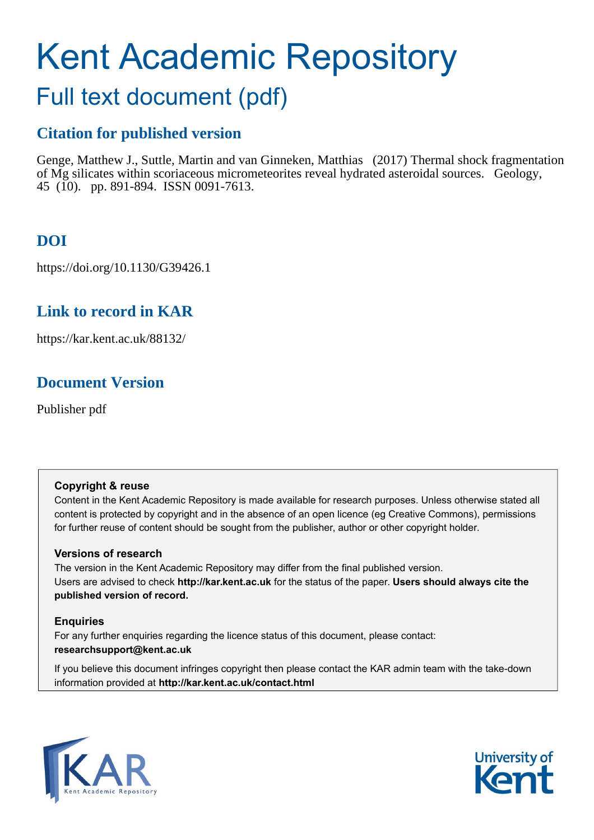# Kent Academic Repository

## Full text document (pdf)

## **Citation for published version**

Genge, Matthew J., Suttle, Martin and van Ginneken, Matthias (2017) Thermal shock fragmentation of Mg silicates within scoriaceous micrometeorites reveal hydrated asteroidal sources. Geology, 45 (10). pp. 891-894. ISSN 0091-7613.

## **DOI**

https://doi.org/10.1130/G39426.1

## **Link to record in KAR**

https://kar.kent.ac.uk/88132/

## **Document Version**

Publisher pdf

#### **Copyright & reuse**

Content in the Kent Academic Repository is made available for research purposes. Unless otherwise stated all content is protected by copyright and in the absence of an open licence (eg Creative Commons), permissions for further reuse of content should be sought from the publisher, author or other copyright holder.

#### **Versions of research**

The version in the Kent Academic Repository may differ from the final published version. Users are advised to check **http://kar.kent.ac.uk** for the status of the paper. **Users should always cite the published version of record.**

#### **Enquiries**

For any further enquiries regarding the licence status of this document, please contact: **researchsupport@kent.ac.uk**

If you believe this document infringes copyright then please contact the KAR admin team with the take-down information provided at **http://kar.kent.ac.uk/contact.html**



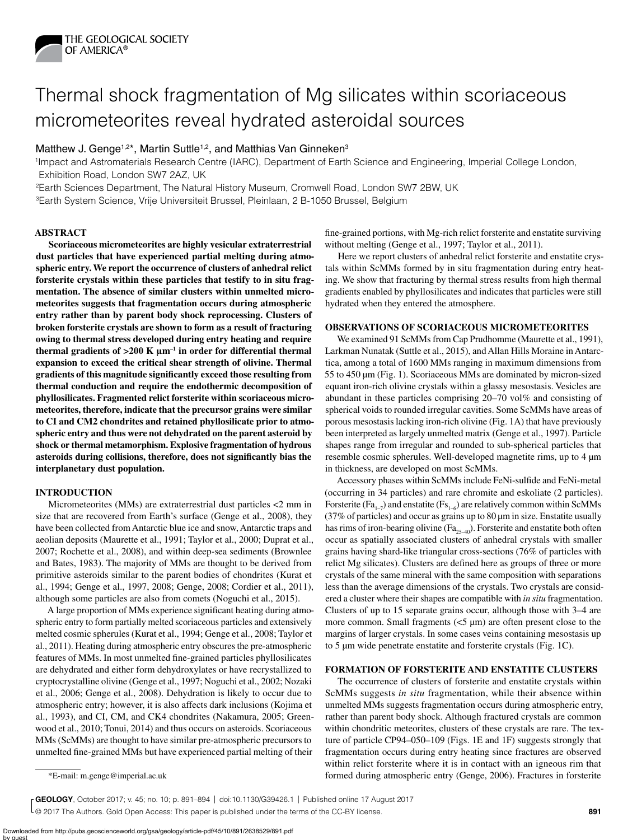

## Thermal shock fragmentation of Mg silicates within scoriaceous micrometeorites reveal hydrated asteroidal sources

#### Matthew J. Genge<sup>1,2\*</sup>, Martin Suttle<sup>1,2</sup>, and Matthias Van Ginneken<sup>3</sup>

1Impact and Astromaterials Research Centre (IARC), Department of Earth Science and Engineering, Imperial College London, Exhibition Road, London SW7 2AZ, UK

2Earth Sciences Department, The Natural History Museum, Cromwell Road, London SW7 2BW, UK

3Earth System Science, Vrije Universiteit Brussel, Pleinlaan, 2 B-1050 Brussel, Belgium

#### **ABSTRACT**

**Scoriaceous micrometeorites are highly vesicular extraterrestrial dust particles that have experienced partial melting during atmospheric entry. We report the occurrence of clusters of anhedral relict forsterite crystals within these particles that testify to in situ fragmentation. The absence of similar clusters within unmelted micrometeorites suggests that fragmentation occurs during atmospheric entry rather than by parent body shock reprocessing. Clusters of broken forsterite crystals are shown to form as a result of fracturing owing to thermal stress developed during entry heating and require**  thermal gradients of  $>200$  K  $\mu$ m<sup>-1</sup> in order for differential thermal **expansion to exceed the critical shear strength of olivine. Thermal gradients of this magnitude significantly exceed those resulting from thermal conduction and require the endothermic decomposition of phyllosilicates. Fragmented relict forsterite within scoriaceous micrometeorites, therefore, indicate that the precursor grains were similar to CI and CM2 chondrites and retained phyllosilicate prior to atmospheric entry and thus were not dehydrated on the parent asteroid by shock or thermal metamorphism. Explosive fragmentation of hydrous asteroids during collisions, therefore, does not significantly bias the interplanetary dust population.**

#### **INTRODUCTION**

Micrometeorites (MMs) are extraterrestrial dust particles <2 mm in size that are recovered from Earth's surface (Genge et al., 2008), they have been collected from Antarctic blue ice and snow, Antarctic traps and aeolian deposits (Maurette et al., 1991; Taylor et al., 2000; Duprat et al., 2007; Rochette et al., 2008), and within deep-sea sediments (Brownlee and Bates, 1983). The majority of MMs are thought to be derived from primitive asteroids similar to the parent bodies of chondrites (Kurat et al., 1994; Genge et al., 1997, 2008; Genge, 2008; Cordier et al., 2011), although some particles are also from comets (Noguchi et al., 2015).

A large proportion of MMs experience significant heating during atmospheric entry to form partially melted scoriaceous particles and extensively melted cosmic spherules (Kurat et al., 1994; Genge et al., 2008; Taylor et al., 2011). Heating during atmospheric entry obscures the pre-atmospheric features of MMs. In most unmelted fine-grained particles phyllosilicates are dehydrated and either form dehydroxylates or have recrystallized to cryptocrystalline olivine (Genge et al., 1997; Noguchi et al., 2002; Nozaki et al., 2006; Genge et al., 2008). Dehydration is likely to occur due to atmospheric entry; however, it is also affects dark inclusions (Kojima et al., 1993), and CI, CM, and CK4 chondrites (Nakamura, 2005; Greenwood et al., 2010; Tonui, 2014) and thus occurs on asteroids. Scoriaceous MMs (ScMMs) are thought to have similar pre-atmospheric precursors to unmelted fine-grained MMs but have experienced partial melting of their

fine-grained portions, with Mg-rich relict forsterite and enstatite surviving without melting (Genge et al., 1997; Taylor et al., 2011).

Here we report clusters of anhedral relict forsterite and enstatite crystals within ScMMs formed by in situ fragmentation during entry heating. We show that fracturing by thermal stress results from high thermal gradients enabled by phyllosilicates and indicates that particles were still hydrated when they entered the atmosphere.

#### **OBSERVATIONS OF SCORIACEOUS MICROMETEORITES**

We examined 91 ScMMs from Cap Prudhomme (Maurette et al., 1991), Larkman Nunatak (Suttle et al., 2015), and Allan Hills Moraine in Antarctica, among a total of 1600 MMs ranging in maximum dimensions from 55 to 450 µm (Fig. 1). Scoriaceous MMs are dominated by micron-sized equant iron-rich olivine crystals within a glassy mesostasis. Vesicles are abundant in these particles comprising 20–70 vol% and consisting of spherical voids to rounded irregular cavities. Some ScMMs have areas of porous mesostasis lacking iron-rich olivine (Fig. 1A) that have previously been interpreted as largely unmelted matrix (Genge et al., 1997). Particle shapes range from irregular and rounded to sub-spherical particles that resemble cosmic spherules. Well-developed magnetite rims, up to 4 µm in thickness, are developed on most ScMMs.

Accessory phases within ScMMs include FeNi-sulfide and FeNi-metal (occurring in 34 particles) and rare chromite and eskoliate (2 particles). Forsterite (Fa<sub>1–7</sub>) and enstatite (Fs<sub>1–6</sub>) are relatively common within ScMMs (37% of particles) and occur as grains up to 80 µm in size. Enstatite usually has rims of iron-bearing olivine ( $Fa_{25-40}$ ). Forsterite and enstatite both often occur as spatially associated clusters of anhedral crystals with smaller grains having shard-like triangular cross-sections (76% of particles with relict Mg silicates). Clusters are defined here as groups of three or more crystals of the same mineral with the same composition with separations less than the average dimensions of the crystals. Two crystals are considered a cluster where their shapes are compatible with *in situ* fragmentation. Clusters of up to 15 separate grains occur, although those with 3–4 are more common. Small fragments  $\left\langle 5 \mu \right\rangle$  are often present close to the margins of larger crystals. In some cases veins containing mesostasis up to 5 µm wide penetrate enstatite and forsterite crystals (Fig. 1C).

#### **FORMATION OF FORSTERITE AND ENSTATITE CLUSTERS**

The occurrence of clusters of forsterite and enstatite crystals within ScMMs suggests *in situ* fragmentation, while their absence within unmelted MMs suggests fragmentation occurs during atmospheric entry, rather than parent body shock. Although fractured crystals are common within chondritic meteorites, clusters of these crystals are rare. The texture of particle CP94–050–109 (Figs. 1E and 1F) suggests strongly that fragmentation occurs during entry heating since fractures are observed within relict forsterite where it is in contact with an igneous rim that \*E-mail: m.genge@imperial.ac.uk formed during atmospheric entry (Genge, 2006). Fractures in forsterite

© 2017 The Authors. Gold Open Access: This paper is published under the terms of the CC-BY license. **GEOLOGY**, October 2017; v. 45; no. 10; p. 891–894 | doi:10.1130/G39426.1 | Published online 17 August 2017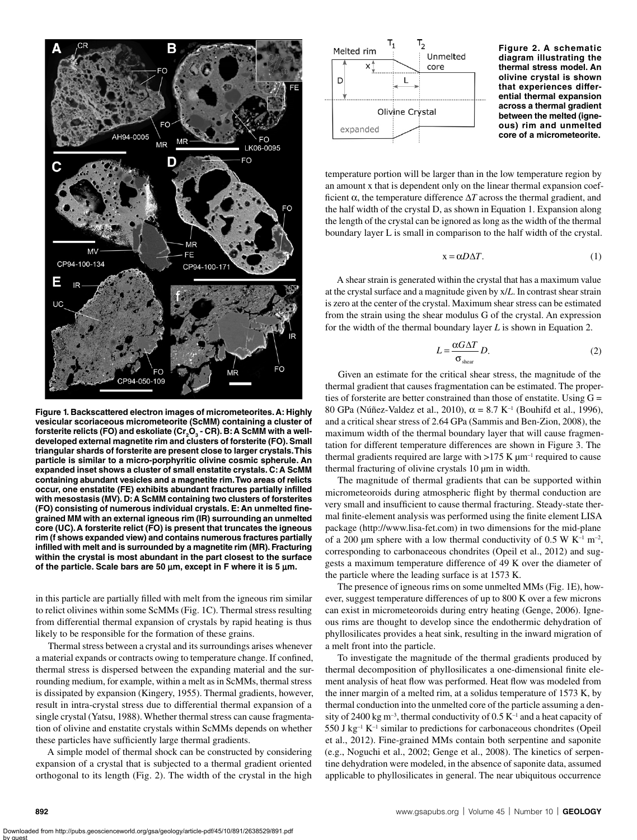

**Figure 1. Backscattered electron images of micrometeorites. A: Highly vesicular scoriaceous micrometeorite (ScMM) containing a cluster of**  forsterite relicts (FO) and eskoliate (Cr<sub>2</sub>O<sub>3</sub> - CR). B: A ScMM with a well**developed external magnetite rim and clusters of forsterite (FO). Small triangular shards of forsterite are present close to larger crystals. This particle is similar to a micro-porphyritic olivine cosmic spherule. An expanded inset shows a cluster of small enstatite crystals. C: A ScMM containing abundant vesicles and a magnetite rim. Two areas of relicts occur, one enstatite (FE) exhibits abundant fractures partially infilled with mesostasis (MV). D: A ScMM containing two clusters of forsterites (FO) consisting of numerous individual crystals. E: An unmelted finegrained MM with an external igneous rim (IR) surrounding an unmelted core (UC). A forsterite relict (FO) is present that truncates the igneous rim (f shows expanded view) and contains numerous fractures partially infilled with melt and is surrounded by a magnetite rim (MR). Fracturing within the crystal is most abundant in the part closest to the surface of the particle. Scale bars are 50** μ**m, except in F where it is 5** μ**m.**

in this particle are partially filled with melt from the igneous rim similar to relict olivines within some ScMMs (Fig. 1C). Thermal stress resulting from differential thermal expansion of crystals by rapid heating is thus likely to be responsible for the formation of these grains.

Thermal stress between a crystal and its surroundings arises whenever a material expands or contracts owing to temperature change. If confined, thermal stress is dispersed between the expanding material and the surrounding medium, for example, within a melt as in ScMMs, thermal stress is dissipated by expansion (Kingery, 1955). Thermal gradients, however, result in intra-crystal stress due to differential thermal expansion of a single crystal (Yatsu, 1988). Whether thermal stress can cause fragmentation of olivine and enstatite crystals within ScMMs depends on whether these particles have sufficiently large thermal gradients.

A simple model of thermal shock can be constructed by considering expansion of a crystal that is subjected to a thermal gradient oriented orthogonal to its length (Fig. 2). The width of the crystal in the high



**Figure 2. A schematic diagram illustrating the thermal stress model. An olivine crystal is shown that experiences differential thermal expansion across a thermal gradient between the melted (igneous) rim and unmelted core of a micrometeorite.**

temperature portion will be larger than in the low temperature region by an amount x that is dependent only on the linear thermal expansion coefficient  $\alpha$ , the temperature difference  $\Delta T$  across the thermal gradient, and the half width of the crystal D, as shown in Equation 1. Expansion along the length of the crystal can be ignored as long as the width of the thermal boundary layer L is small in comparison to the half width of the crystal.

$$
x = \alpha D \Delta T.
$$
 (1)

A shear strain is generated within the crystal that has a maximum value at the crystal surface and a magnitude given by x/*L*. In contrast shear strain is zero at the center of the crystal. Maximum shear stress can be estimated from the strain using the shear modulus G of the crystal. An expression for the width of the thermal boundary layer *L* is shown in Equation 2.

$$
L = \frac{\alpha G \Delta T}{\sigma_{\text{shear}}} D. \tag{2}
$$

Given an estimate for the critical shear stress, the magnitude of the thermal gradient that causes fragmentation can be estimated. The properties of forsterite are better constrained than those of enstatite. Using G = 80 GPa (Núñez-Valdez et al., 2010), α = 8.7 K–1 (Bouhifd et al., 1996), and a critical shear stress of 2.64 GPa (Sammis and Ben-Zion, 2008), the maximum width of the thermal boundary layer that will cause fragmentation for different temperature differences are shown in Figure 3. The thermal gradients required are large with  $>175$  K  $\mu$ m<sup>-1</sup> required to cause thermal fracturing of olivine crystals 10 µm in width.

The magnitude of thermal gradients that can be supported within micrometeoroids during atmospheric flight by thermal conduction are very small and insufficient to cause thermal fracturing. Steady-state thermal finite-element analysis was performed using the finite element LISA package (http://www.lisa-fet.com) in two dimensions for the mid-plane of a 200  $\mu$ m sphere with a low thermal conductivity of 0.5 W K<sup>-1</sup> m<sup>-2</sup>, corresponding to carbonaceous chondrites (Opeil et al., 2012) and suggests a maximum temperature difference of 49 K over the diameter of the particle where the leading surface is at 1573 K.

The presence of igneous rims on some unmelted MMs (Fig. 1E), however, suggest temperature differences of up to 800 K over a few microns can exist in micrometeoroids during entry heating (Genge, 2006). Igneous rims are thought to develop since the endothermic dehydration of phyllosilicates provides a heat sink, resulting in the inward migration of a melt front into the particle.

To investigate the magnitude of the thermal gradients produced by thermal decomposition of phyllosilicates a one-dimensional finite element analysis of heat flow was performed. Heat flow was modeled from the inner margin of a melted rim, at a solidus temperature of 1573 K, by thermal conduction into the unmelted core of the particle assuming a density of 2400 kg m<sup>-3</sup>, thermal conductivity of 0.5 K<sup>-1</sup> and a heat capacity of  $550$  J kg<sup>-1</sup> K<sup>-1</sup> similar to predictions for carbonaceous chondrites (Opeil et al., 2012). Fine-grained MMs contain both serpentine and saponite (e.g., Noguchi et al., 2002; Genge et al., 2008). The kinetics of serpentine dehydration were modeled, in the absence of saponite data, assumed applicable to phyllosilicates in general. The near ubiquitous occurrence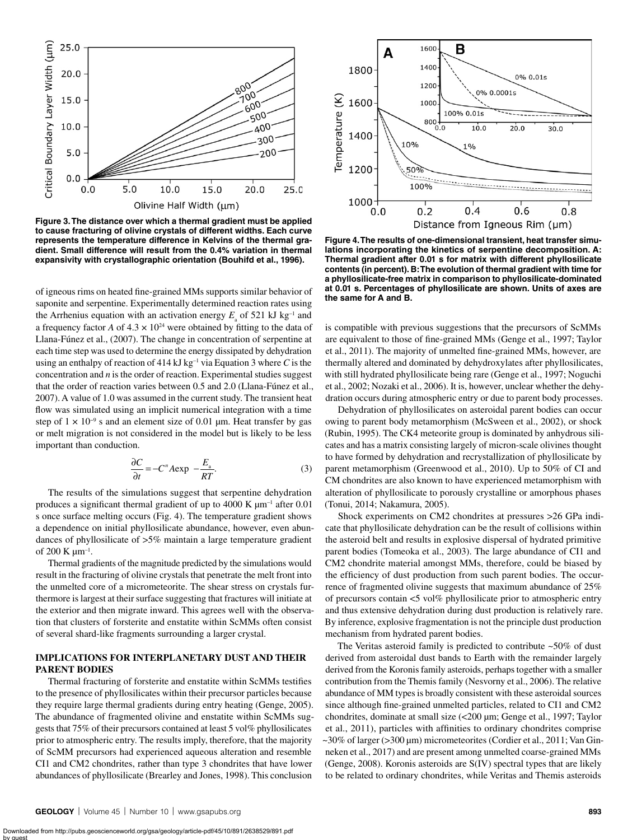

**Figure 3. The distance over which a thermal gradient must be applied to cause fracturing of olivine crystals of different widths. Each curve represents the temperature difference in Kelvins of the thermal gradient. Small difference will result from the 0.4% variation in thermal expansivity with crystallographic orientation (Bouhifd et al., 1996).**

of igneous rims on heated fine-grained MMs supports similar behavior of saponite and serpentine. Experimentally determined reaction rates using the Arrhenius equation with an activation energy  $E_{\rm a}$  of 521 kJ kg<sup>-1</sup> and a frequency factor *A* of  $4.3 \times 10^{24}$  were obtained by fitting to the data of Llana-Fúnez et al., (2007). The change in concentration of serpentine at each time step was used to determine the energy dissipated by dehydration using an enthalpy of reaction of 414 kJ kg–1 via Equation 3 where *C* is the concentration and *n* is the order of reaction. Experimental studies suggest that the order of reaction varies between 0.5 and 2.0 (Llana-Fúnez et al., 2007). A value of 1.0 was assumed in the current study. The transient heat flow was simulated using an implicit numerical integration with a time step of  $1 \times 10^{-9}$  s and an element size of 0.01 µm. Heat transfer by gas or melt migration is not considered in the model but is likely to be less important than conduction.

$$
\frac{\partial C}{\partial t} = -C^n A \exp \ -\frac{E_a}{RT}.\tag{3}
$$

The results of the simulations suggest that serpentine dehydration produces a significant thermal gradient of up to 4000 K  $\mu$ m<sup>-1</sup> after 0.01 s once surface melting occurs (Fig. 4). The temperature gradient shows a dependence on initial phyllosilicate abundance, however, even abundances of phyllosilicate of >5% maintain a large temperature gradient of 200 K  $\mu$ m<sup>-1</sup>.

Thermal gradients of the magnitude predicted by the simulations would result in the fracturing of olivine crystals that penetrate the melt front into the unmelted core of a micrometeorite. The shear stress on crystals furthermore is largest at their surface suggesting that fractures will initiate at the exterior and then migrate inward. This agrees well with the observation that clusters of forsterite and enstatite within ScMMs often consist of several shard-like fragments surrounding a larger crystal.

#### **IMPLICATIONS FOR INTERPLANETARY DUST AND THEIR PARENT BODIES**

Thermal fracturing of forsterite and enstatite within ScMMs testifies to the presence of phyllosilicates within their precursor particles because they require large thermal gradients during entry heating (Genge, 2005). The abundance of fragmented olivine and enstatite within ScMMs suggests that 75% of their precursors contained at least 5 vol% phyllosilicates prior to atmospheric entry. The results imply, therefore, that the majority of ScMM precursors had experienced aqueous alteration and resemble CI1 and CM2 chondrites, rather than type 3 chondrites that have lower abundances of phyllosilicate (Brearley and Jones, 1998). This conclusion



**Figure 4. The results of one-dimensional transient, heat transfer simulations incorporating the kinetics of serpentine decomposition. A: Thermal gradient after 0.01 s for matrix with different phyllosilicate contents (in percent). B: The evolution of thermal gradient with time for a phyllosilicate-free matrix in comparison to phyllosilicate-dominated at 0.01 s. Percentages of phyllosilicate are shown. Units of axes are the same for A and B.**

is compatible with previous suggestions that the precursors of ScMMs are equivalent to those of fine-grained MMs (Genge et al., 1997; Taylor et al., 2011). The majority of unmelted fine-grained MMs, however, are thermally altered and dominated by dehydroxylates after phyllosilicates, with still hydrated phyllosilicate being rare (Genge et al., 1997; Noguchi et al., 2002; Nozaki et al., 2006). It is, however, unclear whether the dehydration occurs during atmospheric entry or due to parent body processes.

Dehydration of phyllosilicates on asteroidal parent bodies can occur owing to parent body metamorphism (McSween et al., 2002), or shock (Rubin, 1995). The CK4 meteorite group is dominated by anhydrous silicates and has a matrix consisting largely of micron-scale olivines thought to have formed by dehydration and recrystallization of phyllosilicate by parent metamorphism (Greenwood et al., 2010). Up to 50% of CI and CM chondrites are also known to have experienced metamorphism with alteration of phyllosilicate to porously crystalline or amorphous phases (Tonui, 2014; Nakamura, 2005).

Shock experiments on CM2 chondrites at pressures >26 GPa indicate that phyllosilicate dehydration can be the result of collisions within the asteroid belt and results in explosive dispersal of hydrated primitive parent bodies (Tomeoka et al., 2003). The large abundance of CI1 and CM2 chondrite material amongst MMs, therefore, could be biased by the efficiency of dust production from such parent bodies. The occurrence of fragmented olivine suggests that maximum abundance of 25% of precursors contain <5 vol% phyllosilicate prior to atmospheric entry and thus extensive dehydration during dust production is relatively rare. By inference, explosive fragmentation is not the principle dust production mechanism from hydrated parent bodies.

The Veritas asteroid family is predicted to contribute  $~50\%$  of dust derived from asteroidal dust bands to Earth with the remainder largely derived from the Koronis family asteroids, perhaps together with a smaller contribution from the Themis family (Nesvorny et al., 2006). The relative abundance of MM types is broadly consistent with these asteroidal sources since although fine-grained unmelted particles, related to CI1 and CM2 chondrites, dominate at small size (<200 µm; Genge et al., 1997; Taylor et al., 2011), particles with affinities to ordinary chondrites comprise ~30% of larger (>300 µm) micrometeorites (Cordier et al., 2011; Van Ginneken et al., 2017) and are present among unmelted coarse-grained MMs (Genge, 2008). Koronis asteroids are S(IV) spectral types that are likely to be related to ordinary chondrites, while Veritas and Themis asteroids